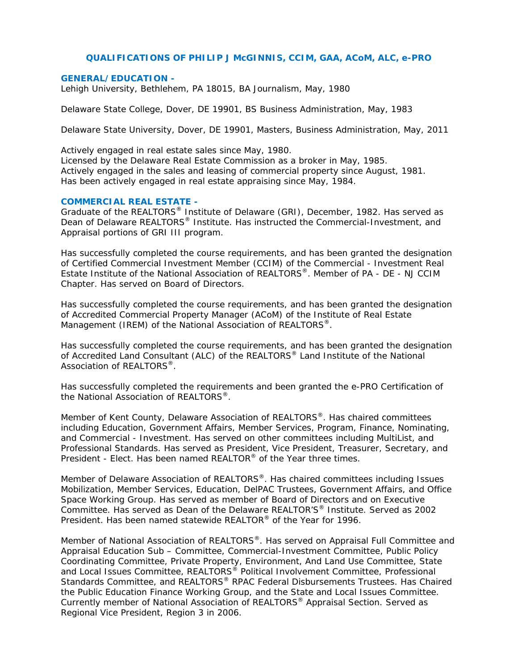# **QUALIFICATIONS OF PHILIP J McGINNIS, CCIM, GAA, ACoM, ALC, e-PRO**

#### *GENERAL/EDUCATION -*

Lehigh University, Bethlehem, PA 18015, BA Journalism, May, 1980

Delaware State College, Dover, DE 19901, BS Business Administration, May, 1983

Delaware State University, Dover, DE 19901, Masters, Business Administration, May, 2011

Actively engaged in real estate sales since May, 1980.

Licensed by the Delaware Real Estate Commission as a broker in May, 1985. Actively engaged in the sales and leasing of commercial property since August, 1981. Has been actively engaged in real estate appraising since May, 1984.

## *COMMERCIAL REAL ESTATE -*

Graduate of the REALTORS® Institute of Delaware (GRI), December, 1982. Has served as Dean of Delaware REALTORS® Institute. Has instructed the Commercial-Investment, and Appraisal portions of GRI III program.

Has successfully completed the course requirements, and has been granted the designation of Certified Commercial Investment Member (CCIM) of the Commercial - Investment Real Estate Institute of the National Association of REALTORS®. Member of PA - DE - NJ CCIM Chapter. Has served on Board of Directors.

Has successfully completed the course requirements, and has been granted the designation of Accredited Commercial Property Manager (ACoM) of the Institute of Real Estate Management (IREM) of the National Association of REALTORS®.

Has successfully completed the course requirements, and has been granted the designation of Accredited Land Consultant (ALC) of the REALTORS® Land Institute of the National Association of REALTORS<sup>®</sup>.

Has successfully completed the requirements and been granted the e-PRO Certification of the National Association of REALTORS®.

Member of Kent County, Delaware Association of REALTORS<sup>®</sup>. Has chaired committees including Education, Government Affairs, Member Services, Program, Finance, Nominating, and Commercial - Investment. Has served on other committees including MultiList, and Professional Standards. Has served as President, Vice President, Treasurer, Secretary, and President - Elect. Has been named REALTOR<sup>®</sup> of the Year three times.

Member of Delaware Association of REALTORS®. Has chaired committees including Issues Mobilization, Member Services, Education, DelPAC Trustees, Government Affairs, and Office Space Working Group. Has served as member of Board of Directors and on Executive Committee. Has served as Dean of the Delaware REALTOR'S® Institute. Served as 2002 President. Has been named statewide REALTOR® of the Year for 1996.

Member of National Association of REALTORS®. Has served on Appraisal Full Committee and Appraisal Education Sub – Committee, Commercial-Investment Committee, Public Policy Coordinating Committee, Private Property, Environment, And Land Use Committee, State and Local Issues Committee, REALTORS<sup>®</sup> Political Involvement Committee, Professional Standards Committee, and REALTORS® RPAC Federal Disbursements Trustees. Has Chaired the Public Education Finance Working Group, and the State and Local Issues Committee. Currently member of National Association of REALTORS® Appraisal Section. Served as Regional Vice President, Region 3 in 2006.